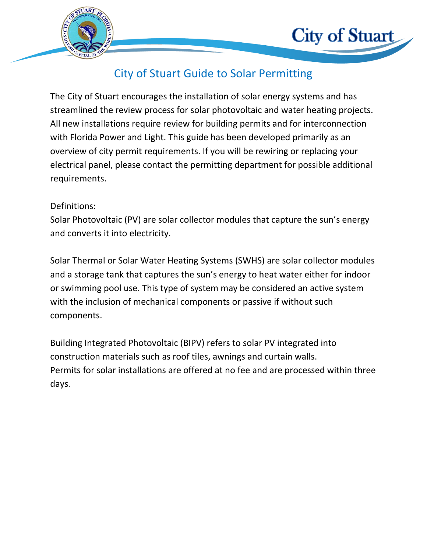

## City of Stuart Guide to Solar Permitting

**City of Stuart** 

The City of Stuart encourages the installation of solar energy systems and has streamlined the review process for solar photovoltaic and water heating projects. All new installations require review for building permits and for interconnection with Florida Power and Light. This guide has been developed primarily as an overview of city permit requirements. If you will be rewiring or replacing your electrical panel, please contact the permitting department for possible additional requirements.

## Definitions:

Solar Photovoltaic (PV) are solar collector modules that capture the sun's energy and converts it into electricity.

Solar Thermal or Solar Water Heating Systems (SWHS) are solar collector modules and a storage tank that captures the sun's energy to heat water either for indoor or swimming pool use. This type of system may be considered an active system with the inclusion of mechanical components or passive if without such components.

Building Integrated Photovoltaic (BIPV) refers to solar PV integrated into construction materials such as roof tiles, awnings and curtain walls. Permits for solar installations are offered at no fee and are processed within three days.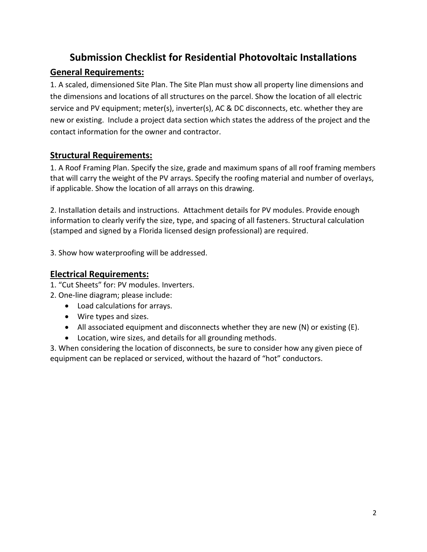## **Submission Checklist for Residential Photovoltaic Installations**

## **General Requirements:**

1. A scaled, dimensioned Site Plan. The Site Plan must show all property line dimensions and the dimensions and locations of all structures on the parcel. Show the location of all electric service and PV equipment; meter(s), inverter(s), AC & DC disconnects, etc. whether they are new or existing. Include a project data section which states the address of the project and the contact information for the owner and contractor.

## **Structural Requirements:**

1. A Roof Framing Plan. Specify the size, grade and maximum spans of all roof framing members that will carry the weight of the PV arrays. Specify the roofing material and number of overlays, if applicable. Show the location of all arrays on this drawing.

2. Installation details and instructions. Attachment details for PV modules. Provide enough information to clearly verify the size, type, and spacing of all fasteners. Structural calculation (stamped and signed by a Florida licensed design professional) are required.

3. Show how waterproofing will be addressed.

## **Electrical Requirements:**

- 1. "Cut Sheets" for: PV modules. Inverters.
- 2. One-line diagram; please include:
	- Load calculations for arrays.
	- Wire types and sizes.
	- All associated equipment and disconnects whether they are new  $(N)$  or existing  $(E)$ .
	- Location, wire sizes, and details for all grounding methods.

3. When considering the location of disconnects, be sure to consider how any given piece of equipment can be replaced or serviced, without the hazard of "hot" conductors.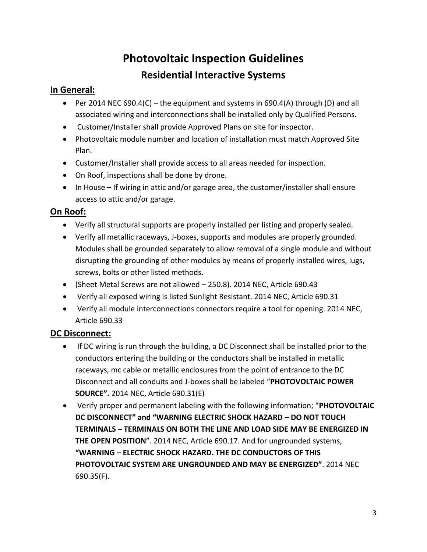# **Photovoltaic Inspection Guidelines Residential Interactive Systems**

#### **In General:**

- Per 2014 NEC 690.4(C) the equipment and systems in 690.4(A) through (D) and all associated wiring and interconnections shall be installed only by Qualified Persons.
- Customer/Installer shall provide Approved Plans on site for inspector.
- Photovoltaic module number and location of installation must match Approved Site Plan.
- Customer/Installer shall provide access to all areas needed for inspection.
- On Roof, inspections shall be done by drone.
- In House If wiring in attic and/or garage area, the customer/installer shall ensure access to attic and/or garage.

## **On Roof:**

- Verify all structural supports are properly installed per listing and properly sealed.
- Verify all metallic raceways, J-boxes, supports and modules are properly grounded. Modules shall be grounded separately to allow removal of a single module and without disrupting the grounding of other modules by means of properly installed wires, lugs, screws, bolts or other listed methods.
- (Sheet Metal Screws are not allowed 250.8). 2014 NEC, Article 690.43
- Verify all exposed wiring is listed Sunlight Resistant. 2014 NEC, Article 690.31
- Verify all module interconnections connectors require a tool for opening. 2014 NEC, Article 690.33

## **DC Disconnect:**

- If DC wiring is run through the building, a DC Disconnect shall be installed prior to the conductors entering the building or the conductors shall be installed in metallic raceways, mc cable or metallic enclosures from the point of entrance to the DC Disconnect and all conduits and J-boxes shall be labeled "**PHOTOVOLTAIC POWER SOURCE".** 2014 NEC, Article 690.31(E)
- Verify proper and permanent labeling with the following information; "**PHOTOVOLTAIC DC DISCONNECT" and "WARNING ELECTRIC SHOCK HAZARD – DO NOT TOUCH TERMINALS – TERMINALS ON BOTH THE LINE AND LOAD SIDE MAY BE ENERGIZED IN THE OPEN POSITION**". 2014 NEC, Article 690.17. And for ungrounded systems, **"WARNING – ELECTRIC SHOCK HAZARD. THE DC CONDUCTORS OF THIS PHOTOVOLTAIC SYSTEM ARE UNGROUNDED AND MAY BE ENERGIZED"**. 2014 NEC 690.35(F).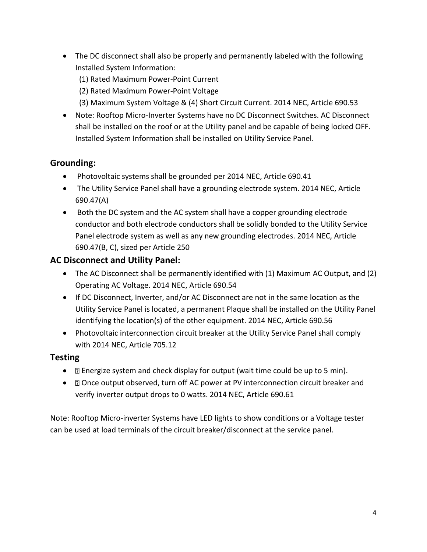- The DC disconnect shall also be properly and permanently labeled with the following Installed System Information:
	- (1) Rated Maximum Power-Point Current
	- (2) Rated Maximum Power-Point Voltage
	- (3) Maximum System Voltage & (4) Short Circuit Current. 2014 NEC, Article 690.53
- Note: Rooftop Micro-Inverter Systems have no DC Disconnect Switches. AC Disconnect shall be installed on the roof or at the Utility panel and be capable of being locked OFF. Installed System Information shall be installed on Utility Service Panel.

## **Grounding:**

- Photovoltaic systems shall be grounded per 2014 NEC, Article 690.41
- The Utility Service Panel shall have a grounding electrode system. 2014 NEC, Article 690.47(A)
- Both the DC system and the AC system shall have a copper grounding electrode conductor and both electrode conductors shall be solidly bonded to the Utility Service Panel electrode system as well as any new grounding electrodes. 2014 NEC, Article 690.47(B, C), sized per Article 250

## **AC Disconnect and Utility Panel:**

- The AC Disconnect shall be permanently identified with (1) Maximum AC Output, and (2) Operating AC Voltage. 2014 NEC, Article 690.54
- If DC Disconnect, Inverter, and/or AC Disconnect are not in the same location as the Utility Service Panel is located, a permanent Plaque shall be installed on the Utility Panel identifying the location(s) of the other equipment. 2014 NEC, Article 690.56
- Photovoltaic interconnection circuit breaker at the Utility Service Panel shall comply with 2014 NEC, Article 705.12

## **Testing**

- **•**  $\Box$  Energize system and check display for output (wait time could be up to 5 min).
- $\Box$  Once output observed, turn off AC power at PV interconnection circuit breaker and verify inverter output drops to 0 watts. 2014 NEC, Article 690.61

Note: Rooftop Micro-inverter Systems have LED lights to show conditions or a Voltage tester can be used at load terminals of the circuit breaker/disconnect at the service panel.